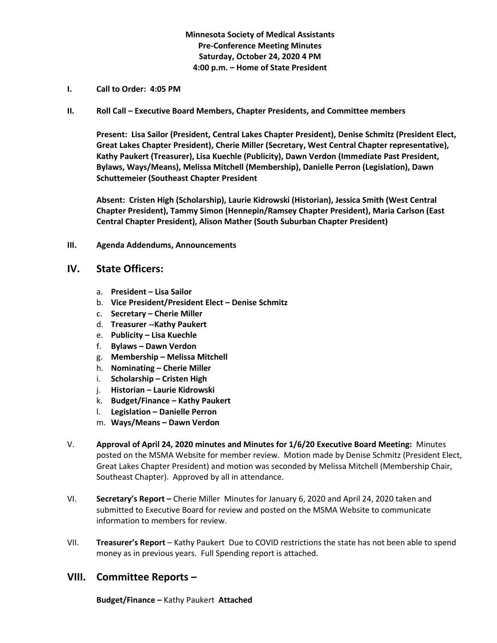## **Minnesota Society of Medical Assistants Pre-Conference Meeting Minutes Saturday, October 24, 2020 4 PM 4:00 p.m. – Home of State President**

- **I. Call to Order: 4:05 PM**
- **II. Roll Call – Executive Board Members, Chapter Presidents, and Committee members**

**Present: Lisa Sailor (President, Central Lakes Chapter President), Denise Schmitz (President Elect, Great Lakes Chapter President), Cherie Miller (Secretary, West Central Chapter representative), Kathy Paukert (Treasurer), Lisa Kuechle (Publicity), Dawn Verdon (Immediate Past President, Bylaws, Ways/Means), Melissa Mitchell (Membership), Danielle Perron (Legislation), Dawn Schuttemeier (Southeast Chapter President**

**Absent: Cristen High (Scholarship), Laurie Kidrowski (Historian), Jessica Smith (West Central Chapter President), Tammy Simon (Hennepin/Ramsey Chapter President), Maria Carlson (East Central Chapter President), Alison Mather (South Suburban Chapter President)**

**III. Agenda Addendums, Announcements**

## **IV. State Officers:**

- a. **President – Lisa Sailor**
- b. **Vice President/President Elect – Denise Schmitz**
- c. **Secretary – Cherie Miller**
- d. **Treasurer --Kathy Paukert**
- e. **Publicity – Lisa Kuechle**
- f. **Bylaws – Dawn Verdon**
- g. **Membership – Melissa Mitchell**
- h. **Nominating – Cherie Miller**
- i. **Scholarship – Cristen High**
- j. **Historian – Laurie Kidrowski**
- k. **Budget/Finance – Kathy Paukert**
- l. **Legislation – Danielle Perron**
- m. **Ways/Means – Dawn Verdon**
- V. **Approval of April 24, 2020 minutes and Minutes for 1/6/20 Executive Board Meeting:** Minutes posted on the MSMA Website for member review. Motion made by Denise Schmitz (President Elect, Great Lakes Chapter President) and motion was seconded by Melissa Mitchell (Membership Chair, Southeast Chapter). Approved by all in attendance.
- VI. **Secretary's Report –** Cherie MillerMinutes for January 6, 2020 and April 24, 2020 taken and submitted to Executive Board for review and posted on the MSMA Website to communicate information to members for review.
- VII. **Treasurer's Report**  Kathy Paukert Due to COVID restrictions the state has not been able to spend money as in previous years. Full Spending report is attached.

## **VIII. Committee Reports –**

**Budget/Finance –** Kathy Paukert **Attached**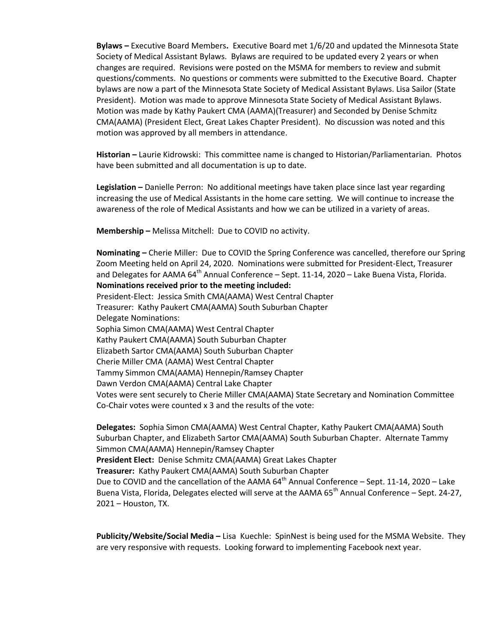**Bylaws –** Executive Board Members**.** Executive Board met 1/6/20 and updated the Minnesota State Society of Medical Assistant Bylaws. Bylaws are required to be updated every 2 years or when changes are required. Revisions were posted on the MSMA for members to review and submit questions/comments. No questions or comments were submitted to the Executive Board. Chapter bylaws are now a part of the Minnesota State Society of Medical Assistant Bylaws. Lisa Sailor (State President). Motion was made to approve Minnesota State Society of Medical Assistant Bylaws. Motion was made by Kathy Paukert CMA (AAMA)(Treasurer) and Seconded by Denise Schmitz CMA(AAMA) (President Elect, Great Lakes Chapter President). No discussion was noted and this motion was approved by all members in attendance.

**Historian –** Laurie Kidrowski: This committee name is changed to Historian/Parliamentarian. Photos have been submitted and all documentation is up to date.

**Legislation –** Danielle Perron: No additional meetings have taken place since last year regarding increasing the use of Medical Assistants in the home care setting. We will continue to increase the awareness of the role of Medical Assistants and how we can be utilized in a variety of areas.

**Membership –** Melissa Mitchell: Due to COVID no activity.

**Nominating –** Cherie Miller: Due to COVID the Spring Conference was cancelled, therefore our Spring Zoom Meeting held on April 24, 2020. Nominations were submitted for President-Elect, Treasurer and Delegates for AAMA 64<sup>th</sup> Annual Conference - Sept. 11-14, 2020 - Lake Buena Vista, Florida. **Nominations received prior to the meeting included:** President-Elect: Jessica Smith CMA(AAMA) West Central Chapter Treasurer: Kathy Paukert CMA(AAMA) South Suburban Chapter Delegate Nominations: Sophia Simon CMA(AAMA) West Central Chapter Kathy Paukert CMA(AAMA) South Suburban Chapter Elizabeth Sartor CMA(AAMA) South Suburban Chapter Cherie Miller CMA (AAMA) West Central Chapter Tammy Simmon CMA(AAMA) Hennepin/Ramsey Chapter Dawn Verdon CMA(AAMA) Central Lake Chapter Votes were sent securely to Cherie Miller CMA(AAMA) State Secretary and Nomination Committee Co-Chair votes were counted x 3 and the results of the vote:

**Delegates:** Sophia Simon CMA(AAMA) West Central Chapter, Kathy Paukert CMA(AAMA) South Suburban Chapter, and Elizabeth Sartor CMA(AAMA) South Suburban Chapter. Alternate Tammy Simmon CMA(AAMA) Hennepin/Ramsey Chapter **President Elect:** Denise Schmitz CMA(AAMA) Great Lakes Chapter **Treasurer:** Kathy Paukert CMA(AAMA) South Suburban Chapter Due to COVID and the cancellation of the AAMA  $64<sup>th</sup>$  Annual Conference – Sept. 11-14, 2020 – Lake Buena Vista, Florida, Delegates elected will serve at the AAMA  $65<sup>th</sup>$  Annual Conference – Sept. 24-27, 2021 – Houston, TX.

**Publicity/Website/Social Media –** Lisa Kuechle: SpinNest is being used for the MSMA Website. They are very responsive with requests. Looking forward to implementing Facebook next year.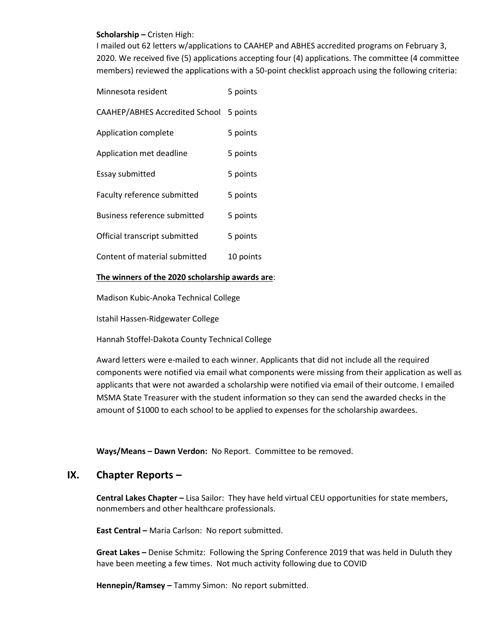#### **Scholarship –** Cristen High:

I mailed out 62 letters w/applications to CAAHEP and ABHES accredited programs on February 3, 2020. We received five (5) applications accepting four (4) applications. The committee (4 committee members) reviewed the applications with a 50-point checklist approach using the following criteria:

| Minnesota resident             | 5 points  |
|--------------------------------|-----------|
| CAAHEP/ABHES Accredited School | 5 points  |
| Application complete           | 5 points  |
| Application met deadline       | 5 points  |
| <b>Essay submitted</b>         | 5 points  |
| Faculty reference submitted    | 5 points  |
| Business reference submitted   | 5 points  |
| Official transcript submitted  | 5 points  |
| Content of material submitted  | 10 points |

#### **The winners of the 2020 scholarship awards are**:

Madison Kubic-Anoka Technical College

Istahil Hassen-Ridgewater College

Hannah Stoffel-Dakota County Technical College

Award letters were e-mailed to each winner. Applicants that did not include all the required components were notified via email what components were missing from their application as well as applicants that were not awarded a scholarship were notified via email of their outcome. I emailed MSMA State Treasurer with the student information so they can send the awarded checks in the amount of \$1000 to each school to be applied to expenses for the scholarship awardees.

**Ways/Means – Dawn Verdon:** No Report. Committee to be removed.

# **IX. Chapter Reports –**

**Central Lakes Chapter –** Lisa Sailor: They have held virtual CEU opportunities for state members, nonmembers and other healthcare professionals.

**East Central –** Maria Carlson: No report submitted.

**Great Lakes –** Denise Schmitz: Following the Spring Conference 2019 that was held in Duluth they have been meeting a few times. Not much activity following due to COVID

**Hennepin/Ramsey –** Tammy Simon: No report submitted.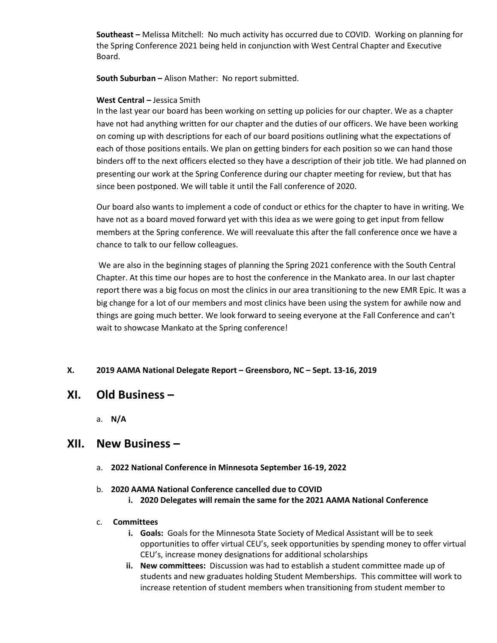**Southeast –** Melissa Mitchell: No much activity has occurred due to COVID. Working on planning for the Spring Conference 2021 being held in conjunction with West Central Chapter and Executive Board.

**South Suburban –** Alison Mather: No report submitted.

#### **West Central –** Jessica Smith

In the last year our board has been working on setting up policies for our chapter. We as a chapter have not had anything written for our chapter and the duties of our officers. We have been working on coming up with descriptions for each of our board positions outlining what the expectations of each of those positions entails. We plan on getting binders for each position so we can hand those binders off to the next officers elected so they have a description of their job title. We had planned on presenting our work at the Spring Conference during our chapter meeting for review, but that has since been postponed. We will table it until the Fall conference of 2020.

Our board also wants to implement a code of conduct or ethics for the chapter to have in writing. We have not as a board moved forward yet with this idea as we were going to get input from fellow members at the Spring conference. We will reevaluate this after the fall conference once we have a chance to talk to our fellow colleagues.

We are also in the beginning stages of planning the Spring 2021 conference with the South Central Chapter. At this time our hopes are to host the conference in the Mankato area. In our last chapter report there was a big focus on most the clinics in our area transitioning to the new EMR Epic. It was a big change for a lot of our members and most clinics have been using the system for awhile now and things are going much better. We look forward to seeing everyone at the Fall Conference and can't wait to showcase Mankato at the Spring conference!

#### **X. 2019 AAMA National Delegate Report – Greensboro, NC – Sept. 13-16, 2019**

# **XI. Old Business –**

a. **N/A**

# **XII. New Business –**

a. **2022 National Conference in Minnesota September 16-19, 2022**

#### b. **2020 AAMA National Conference cancelled due to COVID**

**i. 2020 Delegates will remain the same for the 2021 AAMA National Conference**

#### c. **Committees**

- **i. Goals:** Goals for the Minnesota State Society of Medical Assistant will be to seek opportunities to offer virtual CEU's, seek opportunities by spending money to offer virtual CEU's, increase money designations for additional scholarships
- **ii. New committees:** Discussion was had to establish a student committee made up of students and new graduates holding Student Memberships. This committee will work to increase retention of student members when transitioning from student member to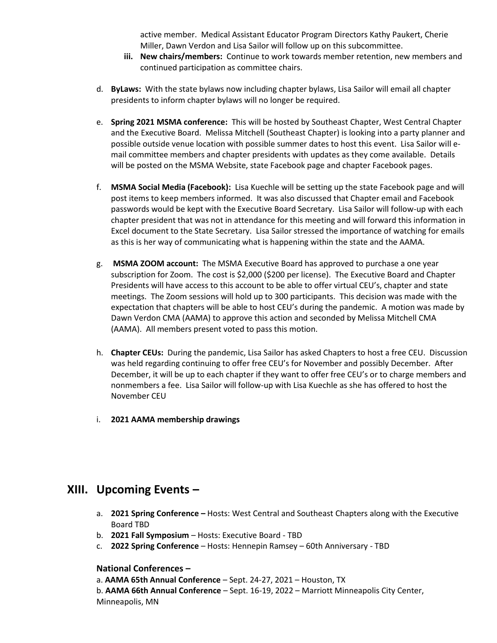active member. Medical Assistant Educator Program Directors Kathy Paukert, Cherie Miller, Dawn Verdon and Lisa Sailor will follow up on this subcommittee.

- **iii. New chairs/members:** Continue to work towards member retention, new members and continued participation as committee chairs.
- d. **ByLaws:** With the state bylaws now including chapter bylaws, Lisa Sailor will email all chapter presidents to inform chapter bylaws will no longer be required.
- e. **Spring 2021 MSMA conference:** This will be hosted by Southeast Chapter, West Central Chapter and the Executive Board. Melissa Mitchell (Southeast Chapter) is looking into a party planner and possible outside venue location with possible summer dates to host this event. Lisa Sailor will email committee members and chapter presidents with updates as they come available. Details will be posted on the MSMA Website, state Facebook page and chapter Facebook pages.
- f. **MSMA Social Media (Facebook):** Lisa Kuechle will be setting up the state Facebook page and will post items to keep members informed. It was also discussed that Chapter email and Facebook passwords would be kept with the Executive Board Secretary. Lisa Sailor will follow-up with each chapter president that was not in attendance for this meeting and will forward this information in Excel document to the State Secretary. Lisa Sailor stressed the importance of watching for emails as this is her way of communicating what is happening within the state and the AAMA.
- g. **MSMA ZOOM account:** The MSMA Executive Board has approved to purchase a one year subscription for Zoom. The cost is \$2,000 (\$200 per license). The Executive Board and Chapter Presidents will have access to this account to be able to offer virtual CEU's, chapter and state meetings. The Zoom sessions will hold up to 300 participants. This decision was made with the expectation that chapters will be able to host CEU's during the pandemic. A motion was made by Dawn Verdon CMA (AAMA) to approve this action and seconded by Melissa Mitchell CMA (AAMA). All members present voted to pass this motion.
- h. **Chapter CEUs:** During the pandemic, Lisa Sailor has asked Chapters to host a free CEU. Discussion was held regarding continuing to offer free CEU's for November and possibly December. After December, it will be up to each chapter if they want to offer free CEU's or to charge members and nonmembers a fee. Lisa Sailor will follow-up with Lisa Kuechle as she has offered to host the November CEU
- i. **2021 AAMA membership drawings**

# **XIII. Upcoming Events –**

- a. **2021 Spring Conference –** Hosts: West Central and Southeast Chapters along with the Executive Board TBD
- b. **2021 Fall Symposium** Hosts: Executive Board TBD
- c. **2022 Spring Conference** Hosts: Hennepin Ramsey 60th Anniversary TBD

## **National Conferences –**

a. **AAMA 65th Annual Conference** – Sept. 24-27, 2021 – Houston, TX

b. **AAMA 66th Annual Conference** – Sept. 16-19, 2022 – Marriott Minneapolis City Center, Minneapolis, MN